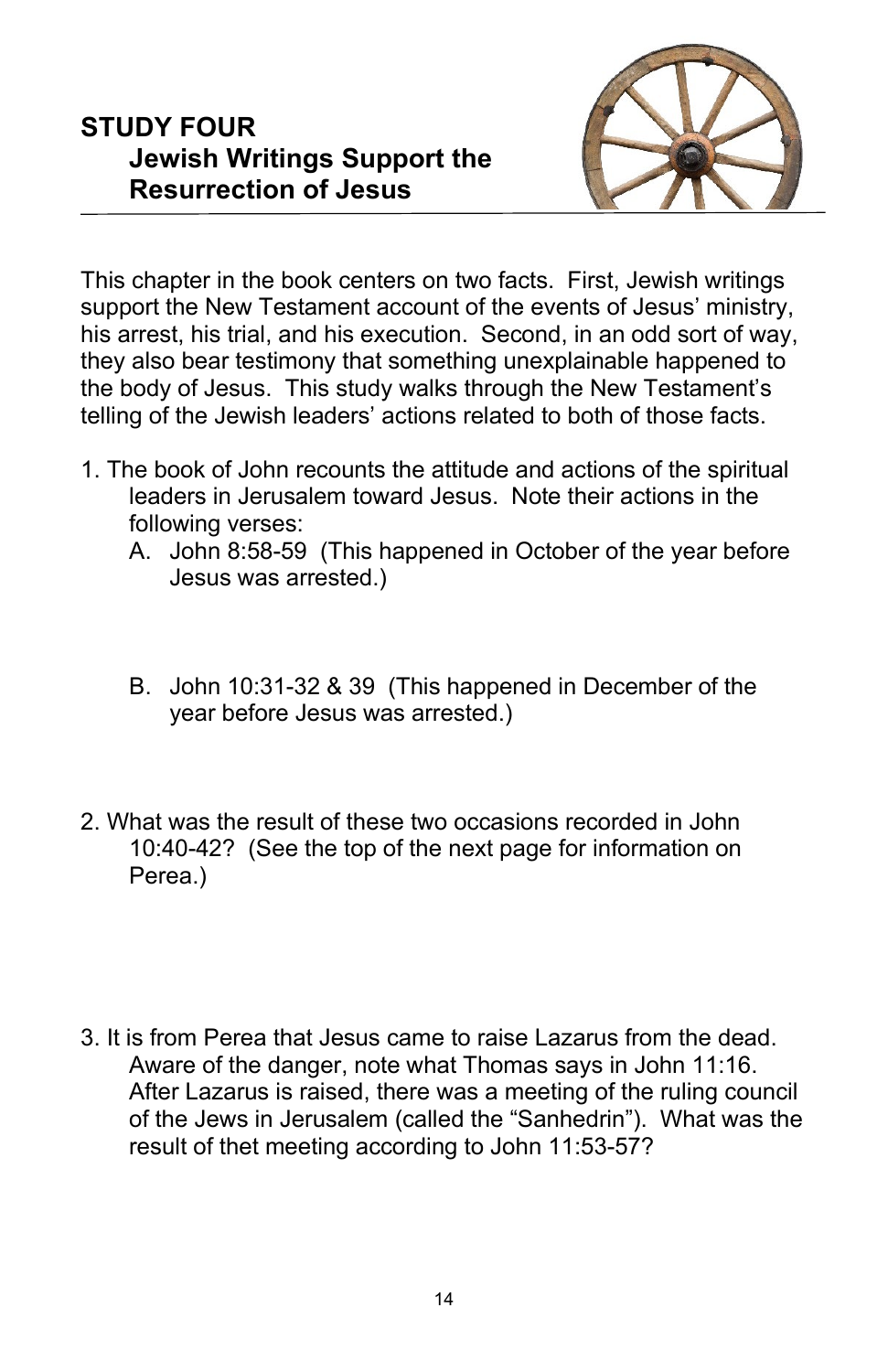## **STUDY FOUR Jewish Writings Support the Resurrection of Jesus**



This chapter in the book centers on two facts. First, Jewish writings support the New Testament account of the events of Jesus' ministry, his arrest, his trial, and his execution. Second, in an odd sort of way, they also bear testimony that something unexplainable happened to the body of Jesus. This study walks through the New Testament's telling of the Jewish leaders' actions related to both of those facts.

- 1. The book of John recounts the attitude and actions of the spiritual leaders in Jerusalem toward Jesus. Note their actions in the following verses:
	- A. John 8:58-59 (This happened in October of the year before Jesus was arrested.)
	- B. John 10:31-32 & 39 (This happened in December of the year before Jesus was arrested.)
- 2. What was the result of these two occasions recorded in John 10:40-42? (See the top of the next page for information on Perea.)
- 3. It is from Perea that Jesus came to raise Lazarus from the dead. Aware of the danger, note what Thomas says in John 11:16. After Lazarus is raised, there was a meeting of the ruling council of the Jews in Jerusalem (called the "Sanhedrin"). What was the result of thet meeting according to John 11:53-57?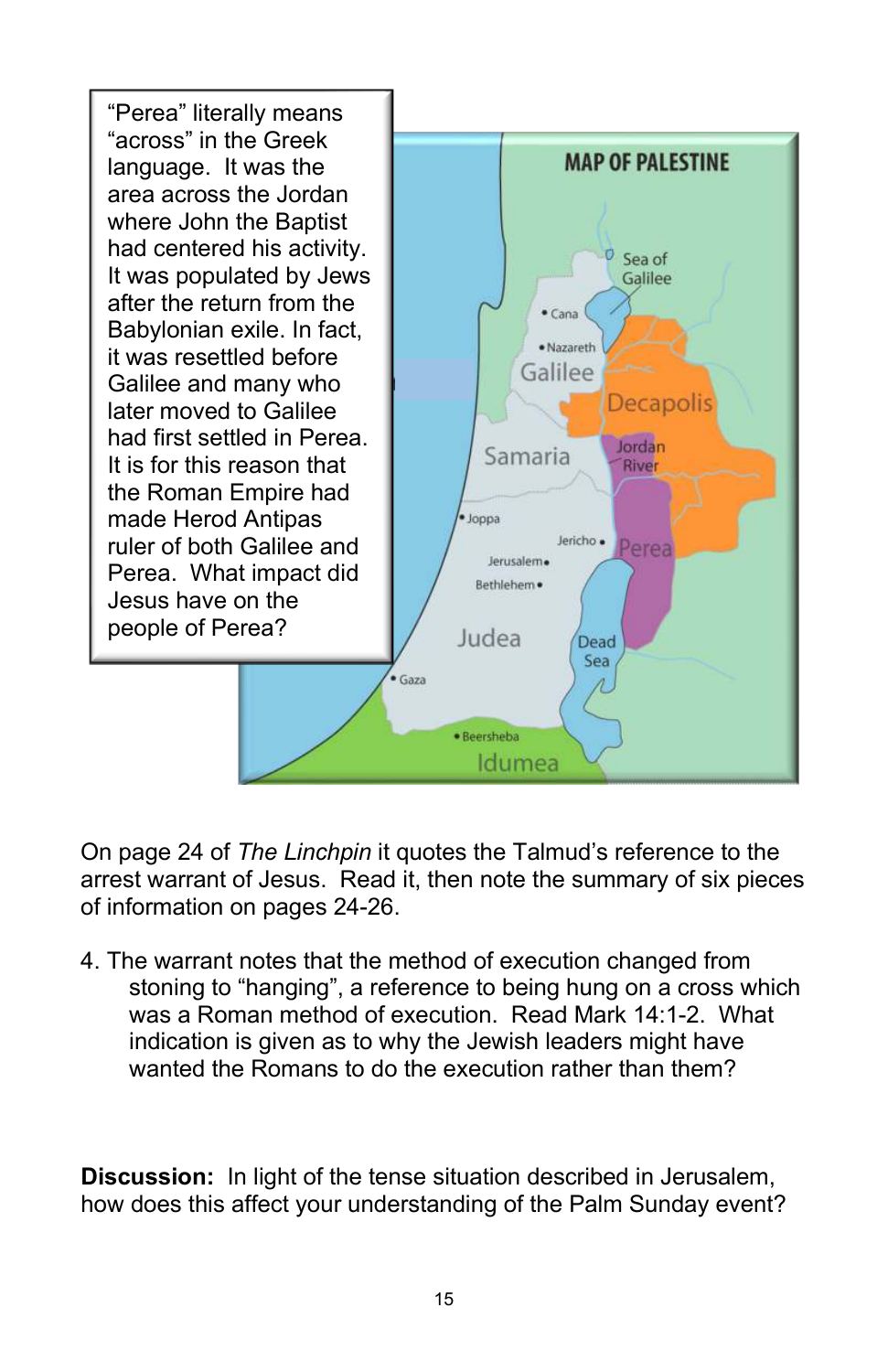

On page 24 of *The Linchpin* it quotes the Talmud's reference to the arrest warrant of Jesus. Read it, then note the summary of six pieces of information on pages 24-26.

4. The warrant notes that the method of execution changed from stoning to "hanging", a reference to being hung on a cross which was a Roman method of execution. Read Mark 14:1-2. What indication is given as to why the Jewish leaders might have wanted the Romans to do the execution rather than them?

**Discussion:** In light of the tense situation described in Jerusalem, how does this affect your understanding of the Palm Sunday event?